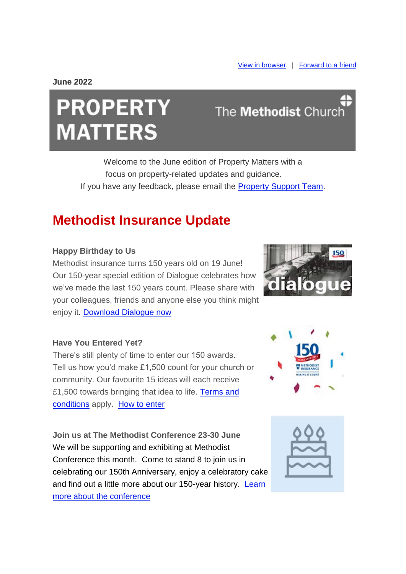**June 2022**

# **PROPERTY MATTERS**

## The **Methodist** Church

Welcome to the June edition of Property Matters with a focus on property-related updates and guidance. If you have any feedback, please email the [Property Support Team.](mailto:property@methodistchurch.org.uk?subject=Feedback)

### **Methodist Insurance Update**

#### **Happy Birthday to Us**

Methodist insurance turns 150 years old on 19 June! Our 150-year special edition of Dialogue celebrates how we've made the last 150 years count. Please share with your colleagues, friends and anyone else you think might enjoy it. [Download Dialogue now](https://urldefense.proofpoint.com/v2/url?u=https-3A__methodist-2Dnews.org.uk_t_BVI-2D7WHAQ-2DWOCGZJ-2D4TSX6M-2D1_c.aspx&d=DwMFaQ&c=euGZstcaTDllvimEN8b7jXrwqOf-v5A_CdpgnVfiiMM&r=HVU4UP2FKbQdEeJRjJMFFTLfEDiOhBmJ91ReO8Puf50&m=aDXaqfg-uLr67a9RO2TQzzN8U5oCMNdt5N_DFFGk9u0&s=g3-merltdUeA6G0YadaCuNrB9MV88mDo8LaL3YSyd-k&e=)

#### **Have You Entered Yet?**

There's still plenty of time to enter our 150 awards. Tell us how you'd make £1,500 count for your church or community. Our favourite 15 ideas will each receive £1,500 towards bringing that idea to life. [Terms and](https://urldefense.proofpoint.com/v2/url?u=https-3A__methodist-2Dnews.org.uk_t_BVI-2D7WHAQ-2DWOCGZJ-2D4TSX6P-2D1_c.aspx&d=DwMFaQ&c=euGZstcaTDllvimEN8b7jXrwqOf-v5A_CdpgnVfiiMM&r=HVU4UP2FKbQdEeJRjJMFFTLfEDiOhBmJ91ReO8Puf50&m=aDXaqfg-uLr67a9RO2TQzzN8U5oCMNdt5N_DFFGk9u0&s=mQj7_q9VgXms5VI3E6pq4JODXs9oZdzgQfOMUvrJz4U&e=)  [conditions](https://urldefense.proofpoint.com/v2/url?u=https-3A__methodist-2Dnews.org.uk_t_BVI-2D7WHAQ-2DWOCGZJ-2D4TSX6P-2D1_c.aspx&d=DwMFaQ&c=euGZstcaTDllvimEN8b7jXrwqOf-v5A_CdpgnVfiiMM&r=HVU4UP2FKbQdEeJRjJMFFTLfEDiOhBmJ91ReO8Puf50&m=aDXaqfg-uLr67a9RO2TQzzN8U5oCMNdt5N_DFFGk9u0&s=mQj7_q9VgXms5VI3E6pq4JODXs9oZdzgQfOMUvrJz4U&e=) apply. [How to enter](https://urldefense.proofpoint.com/v2/url?u=https-3A__methodist-2Dnews.org.uk_t_BVI-2D7WHAQ-2DWOCGZJ-2D4TSX6O-2D1_c.aspx&d=DwMFaQ&c=euGZstcaTDllvimEN8b7jXrwqOf-v5A_CdpgnVfiiMM&r=HVU4UP2FKbQdEeJRjJMFFTLfEDiOhBmJ91ReO8Puf50&m=aDXaqfg-uLr67a9RO2TQzzN8U5oCMNdt5N_DFFGk9u0&s=2ae3xN8PfTnrMjm_qqOYT8cQUZUdlSqsZ5Lkg98rsSs&e=)

**Join us at The Methodist Conference 23-30 June** We will be supporting and exhibiting at Methodist Conference this month. Come to stand 8 to join us in celebrating our 150th Anniversary, enjoy a celebratory cake and find out a little more about our 150-year history. Learn [more about the conference](https://urldefense.proofpoint.com/v2/url?u=https-3A__methodist-2Dnews.org.uk_t_BVI-2D7WHAQ-2DWOCGZJ-2D4TSX6N-2D1_c.aspx&d=DwMFaQ&c=euGZstcaTDllvimEN8b7jXrwqOf-v5A_CdpgnVfiiMM&r=HVU4UP2FKbQdEeJRjJMFFTLfEDiOhBmJ91ReO8Puf50&m=aDXaqfg-uLr67a9RO2TQzzN8U5oCMNdt5N_DFFGk9u0&s=yPOYDFsjVf6Bao5DcrzwtsRAs_6wmcpZeAPUF1_Y0D8&e=)





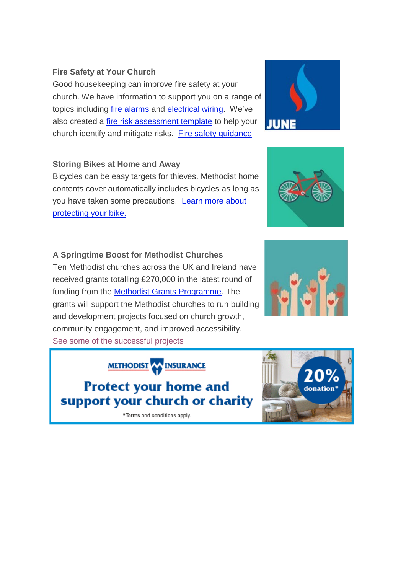#### **Fire Safety at Your Church**

Good housekeeping can improve fire safety at your church. We have information to support you on a range of topics including [fire alarms](https://urldefense.proofpoint.com/v2/url?u=https-3A__methodist-2Dnews.org.uk_t_BVI-2D7WHAQ-2DWOCGZJ-2D4TSY1I-2D1_c.aspx&d=DwMFaQ&c=euGZstcaTDllvimEN8b7jXrwqOf-v5A_CdpgnVfiiMM&r=HVU4UP2FKbQdEeJRjJMFFTLfEDiOhBmJ91ReO8Puf50&m=aDXaqfg-uLr67a9RO2TQzzN8U5oCMNdt5N_DFFGk9u0&s=4Pq-kl5AI6AkRRuPMQTTU8557aeZ7ixWjzKZsR2eTsw&e=) and [electrical wiring.](https://urldefense.proofpoint.com/v2/url?u=https-3A__methodist-2Dnews.org.uk_t_BVI-2D7WHAQ-2DWOCGZJ-2D4TSY1D-2D1_c.aspx&d=DwMFaQ&c=euGZstcaTDllvimEN8b7jXrwqOf-v5A_CdpgnVfiiMM&r=HVU4UP2FKbQdEeJRjJMFFTLfEDiOhBmJ91ReO8Puf50&m=aDXaqfg-uLr67a9RO2TQzzN8U5oCMNdt5N_DFFGk9u0&s=LmF8QgdaVS8d-DeEhZaFB4Mt9FDI1ZYPy8puGOlMCGw&e=) We've also created a [fire risk assessment template](https://urldefense.proofpoint.com/v2/url?u=https-3A__methodist-2Dnews.org.uk_t_BVI-2D7WHAQ-2DWOCGZJ-2D4TSY1F-2D1_c.aspx&d=DwMFaQ&c=euGZstcaTDllvimEN8b7jXrwqOf-v5A_CdpgnVfiiMM&r=HVU4UP2FKbQdEeJRjJMFFTLfEDiOhBmJ91ReO8Puf50&m=aDXaqfg-uLr67a9RO2TQzzN8U5oCMNdt5N_DFFGk9u0&s=mv3bBDk38zCe39FNAVqxjQNUB7k_V9GcjoDrRfEKVSU&e=) to help your church identify and mitigate risks. [Fire safety guidance](https://urldefense.proofpoint.com/v2/url?u=https-3A__methodist-2Dnews.org.uk_t_BVI-2D7WHAQ-2DWOCGZJ-2D4TSY1E-2D1_c.aspx&d=DwMFaQ&c=euGZstcaTDllvimEN8b7jXrwqOf-v5A_CdpgnVfiiMM&r=HVU4UP2FKbQdEeJRjJMFFTLfEDiOhBmJ91ReO8Puf50&m=aDXaqfg-uLr67a9RO2TQzzN8U5oCMNdt5N_DFFGk9u0&s=ghW_jypyHY88ZDg8PKe03Z7d3_wNUTrpVHWOxRHEynQ&e=)

#### **Storing Bikes at Home and Away**

Bicycles can be easy targets for thieves. Methodist home contents cover automatically includes bicycles as long as you have taken some precautions. [Learn more about](https://urldefense.proofpoint.com/v2/url?u=https-3A__methodist-2Dnews.org.uk_t_BVI-2D7WHAQ-2DWOCGZJ-2D4TSY1H-2D1_c.aspx&d=DwMFaQ&c=euGZstcaTDllvimEN8b7jXrwqOf-v5A_CdpgnVfiiMM&r=HVU4UP2FKbQdEeJRjJMFFTLfEDiOhBmJ91ReO8Puf50&m=aDXaqfg-uLr67a9RO2TQzzN8U5oCMNdt5N_DFFGk9u0&s=arKp5xsxLd1pewDy_URFh5LF0EvF71yV5H-6nW_ictg&e=)  [protecting your bike.](https://urldefense.proofpoint.com/v2/url?u=https-3A__methodist-2Dnews.org.uk_t_BVI-2D7WHAQ-2DWOCGZJ-2D4TSY1H-2D1_c.aspx&d=DwMFaQ&c=euGZstcaTDllvimEN8b7jXrwqOf-v5A_CdpgnVfiiMM&r=HVU4UP2FKbQdEeJRjJMFFTLfEDiOhBmJ91ReO8Puf50&m=aDXaqfg-uLr67a9RO2TQzzN8U5oCMNdt5N_DFFGk9u0&s=arKp5xsxLd1pewDy_URFh5LF0EvF71yV5H-6nW_ictg&e=)

#### **A Springtime Boost for Methodist Churches**

Ten Methodist churches across the UK and Ireland have received grants totalling £270,000 in the latest round of funding from the [Methodist Grants Programme.](https://urldefense.proofpoint.com/v2/url?u=https-3A__methodist-2Dnews.org.uk_t_BVI-2D7WHAQ-2DWOCGZJ-2D4TSY1G-2D1_c.aspx&d=DwMFaQ&c=euGZstcaTDllvimEN8b7jXrwqOf-v5A_CdpgnVfiiMM&r=HVU4UP2FKbQdEeJRjJMFFTLfEDiOhBmJ91ReO8Puf50&m=aDXaqfg-uLr67a9RO2TQzzN8U5oCMNdt5N_DFFGk9u0&s=c2ulznPCcFAm0455udnA2HASkdJ_5a2JtXaQORLgeGk&e=) The grants will support the Methodist churches to run building and development projects focused on church growth, community engagement, and improved accessibility. [See some of the successful projects](https://urldefense.proofpoint.com/v2/url?u=https-3A__methodist-2Dnews.org.uk_t_BVI-2D7WHAQ-2DWOCGZJ-2D4TSY1C-2D1_c.aspx&d=DwMFaQ&c=euGZstcaTDllvimEN8b7jXrwqOf-v5A_CdpgnVfiiMM&r=HVU4UP2FKbQdEeJRjJMFFTLfEDiOhBmJ91ReO8Puf50&m=aDXaqfg-uLr67a9RO2TQzzN8U5oCMNdt5N_DFFGk9u0&s=28-n9YzFMG6qDAs2zC9OwugQEiRYEH6wojEU1DqPZrw&e=)

**METHODIST AN INSURANCE** 

**Protect your home and** support your church or charity

\*Terms and conditions apply.







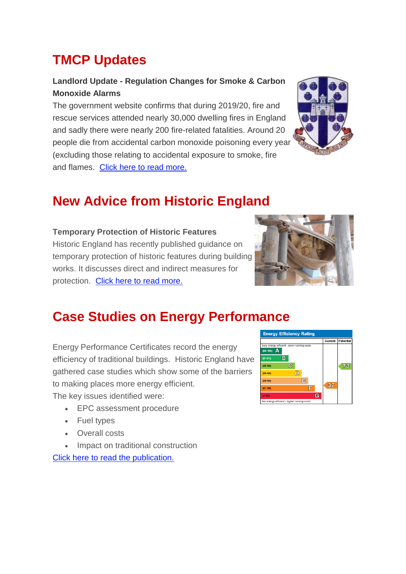### **TMCP Updates**

#### **Landlord Update - Regulation Changes for Smoke & Carbon Monoxide Alarms**

The government website confirms that during 2019/20, fire and rescue services attended nearly 30,000 dwelling fires in England and sadly there were nearly 200 fire-related fatalities. Around 20 people die from accidental carbon monoxide poisoning every year (excluding those relating to accidental exposure to smoke, fire and flames. [Click here to read more.](https://urldefense.proofpoint.com/v2/url?u=https-3A__methodist-2Dnews.org.uk_t_BVI-2D7WHAQ-2DWOCGZJ-2D4TSYHE-2D1_c.aspx&d=DwMFaQ&c=euGZstcaTDllvimEN8b7jXrwqOf-v5A_CdpgnVfiiMM&r=HVU4UP2FKbQdEeJRjJMFFTLfEDiOhBmJ91ReO8Puf50&m=aDXaqfg-uLr67a9RO2TQzzN8U5oCMNdt5N_DFFGk9u0&s=VBmJclrnowdpr3am0X-OJYXfyPqlQTfMCgZqDixJ0B0&e=) 



### **New Advice from Historic England**

#### **Temporary Protection of Historic Features**

Historic England has recently published guidance on temporary protection of historic features during building works. It discusses direct and indirect measures for protection. [Click here to read more.](https://urldefense.proofpoint.com/v2/url?u=https-3A__methodist-2Dnews.org.uk_t_BVI-2D7WHAQ-2DWOCGZJ-2D4TU78U-2D1_c.aspx&d=DwMFaQ&c=euGZstcaTDllvimEN8b7jXrwqOf-v5A_CdpgnVfiiMM&r=HVU4UP2FKbQdEeJRjJMFFTLfEDiOhBmJ91ReO8Puf50&m=aDXaqfg-uLr67a9RO2TQzzN8U5oCMNdt5N_DFFGk9u0&s=1KIsUVXql2Vu52yzR1ZsaiXxjTl4j1OeokNZ9-5Gn1w&e=) 



### **Case Studies on Energy Performance**

Energy Performance Certificates record the energy efficiency of traditional buildings. Historic England have gathered case studies which show some of the barriers to making places more energy efficient.

The key issues identified were:

- EPC assessment procedure
- Fuel types
- Overall costs
- Impact on traditional construction [Click here to read the publication.](https://urldefense.proofpoint.com/v2/url?u=https-3A__methodist-2Dnews.org.uk_t_BVI-2D7WHAQ-2DWOCGZJ-2D4TU8O3-2D1_c.aspx&d=DwMFaQ&c=euGZstcaTDllvimEN8b7jXrwqOf-v5A_CdpgnVfiiMM&r=HVU4UP2FKbQdEeJRjJMFFTLfEDiOhBmJ91ReO8Puf50&m=aDXaqfg-uLr67a9RO2TQzzN8U5oCMNdt5N_DFFGk9u0&s=PpjyrBcOs9xDmGyxf5lvSgDZvk1FT83mossEjkDT4s8&e=)

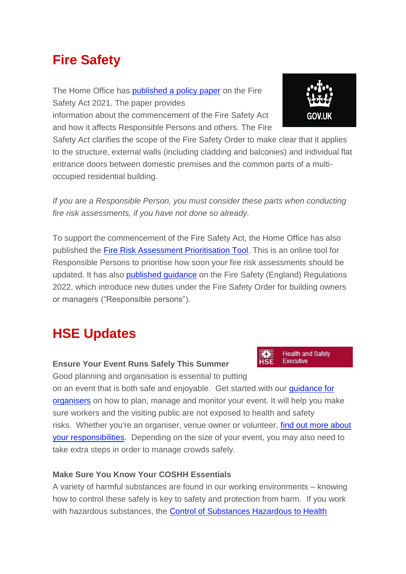### **Fire Safety**

The Home Office has [published a policy paper](https://urldefense.proofpoint.com/v2/url?u=https-3A__methodist-2Dnews.org.uk_t_BVI-2D7WHAQ-2DWOCGZJ-2D4TU78Z-2D1_c.aspx&d=DwMFaQ&c=euGZstcaTDllvimEN8b7jXrwqOf-v5A_CdpgnVfiiMM&r=HVU4UP2FKbQdEeJRjJMFFTLfEDiOhBmJ91ReO8Puf50&m=aDXaqfg-uLr67a9RO2TQzzN8U5oCMNdt5N_DFFGk9u0&s=VikwNkpwjlxhzmKoY8WVuFljYw5lof9a50VCyd8nL3I&e=) on the Fire Safety Act 2021. The paper provides

information about the commencement of the Fire Safety Act and how it affects Responsible Persons and others. The Fire

Safety Act clarifies the scope of the Fire Safety Order to make clear that it applies to the structure, external walls (including cladding and balconies) and individual flat entrance doors between domestic premises and the common parts of a multioccupied residential building.

*If you are a Responsible Person, you must consider these parts when conducting fire risk assessments, if you have not done so already.*

To support the commencement of the Fire Safety Act, the Home Office has also published the [Fire Risk Assessment Prioritisation Tool.](https://urldefense.proofpoint.com/v2/url?u=https-3A__methodist-2Dnews.org.uk_t_BVI-2D7WHAQ-2DWOCGZJ-2D4TU78R-2D1_c.aspx&d=DwMFaQ&c=euGZstcaTDllvimEN8b7jXrwqOf-v5A_CdpgnVfiiMM&r=HVU4UP2FKbQdEeJRjJMFFTLfEDiOhBmJ91ReO8Puf50&m=aDXaqfg-uLr67a9RO2TQzzN8U5oCMNdt5N_DFFGk9u0&s=wYs6AxE6jHwbK3e4g5y3BHlPEU0BKKm-zN8QuNwI-r0&e=) This is an online tool for Responsible Persons to prioritise how soon your fire risk assessments should be updated. It has also [published guidance](https://urldefense.proofpoint.com/v2/url?u=https-3A__methodist-2Dnews.org.uk_t_BVI-2D7WHAQ-2DWOCGZJ-2D4TU78X-2D1_c.aspx&d=DwMFaQ&c=euGZstcaTDllvimEN8b7jXrwqOf-v5A_CdpgnVfiiMM&r=HVU4UP2FKbQdEeJRjJMFFTLfEDiOhBmJ91ReO8Puf50&m=aDXaqfg-uLr67a9RO2TQzzN8U5oCMNdt5N_DFFGk9u0&s=b9WjZvrhlv1FprjouBJhaatC6-YXQXd75ESFNbog66k&e=) on the Fire Safety (England) Regulations 2022, which introduce new duties under the Fire Safety Order for building owners or managers ("Responsible persons").

### **HSE Updates**

#### **Ensure Your Event Runs Safely This Summer**

Good planning and organisation is essential to putting on an event that is both safe and enjoyable. Get started with our [guidance for](https://urldefense.proofpoint.com/v2/url?u=https-3A__methodist-2Dnews.org.uk_t_BVI-2D7WHAQ-2DWOCGZJ-2D4TU78W-2D1_c.aspx&d=DwMFaQ&c=euGZstcaTDllvimEN8b7jXrwqOf-v5A_CdpgnVfiiMM&r=HVU4UP2FKbQdEeJRjJMFFTLfEDiOhBmJ91ReO8Puf50&m=aDXaqfg-uLr67a9RO2TQzzN8U5oCMNdt5N_DFFGk9u0&s=FELub3GMnDeSkezMOv8TYCGG86j82qOmfwTbaVIy0Rs&e=)  [organisers](https://urldefense.proofpoint.com/v2/url?u=https-3A__methodist-2Dnews.org.uk_t_BVI-2D7WHAQ-2DWOCGZJ-2D4TU78W-2D1_c.aspx&d=DwMFaQ&c=euGZstcaTDllvimEN8b7jXrwqOf-v5A_CdpgnVfiiMM&r=HVU4UP2FKbQdEeJRjJMFFTLfEDiOhBmJ91ReO8Puf50&m=aDXaqfg-uLr67a9RO2TQzzN8U5oCMNdt5N_DFFGk9u0&s=FELub3GMnDeSkezMOv8TYCGG86j82qOmfwTbaVIy0Rs&e=) on how to plan, manage and monitor your event. It will help you make sure workers and the visiting public are not exposed to health and safety risks. Whether you're an organiser, venue owner or volunteer, find out more about [your responsibilities.](https://urldefense.proofpoint.com/v2/url?u=https-3A__methodist-2Dnews.org.uk_t_BVI-2D7WHAQ-2DWOCGZJ-2D4TU78Y-2D1_c.aspx&d=DwMFaQ&c=euGZstcaTDllvimEN8b7jXrwqOf-v5A_CdpgnVfiiMM&r=HVU4UP2FKbQdEeJRjJMFFTLfEDiOhBmJ91ReO8Puf50&m=aDXaqfg-uLr67a9RO2TQzzN8U5oCMNdt5N_DFFGk9u0&s=OZwurzf4kyxofeLt3o2IKYBhz2hp3JPUoDY9jLYsznE&e=) Depending on the size of your event, you may also need to take extra steps in order to manage crowds safely.

#### **Make Sure You Know Your COSHH Essentials**

A variety of harmful substances are found in our working environments – knowing how to control these safely is key to safety and protection from harm. If you work with hazardous substances, the [Control of Substances Hazardous to Health](https://urldefense.proofpoint.com/v2/url?u=https-3A__methodist-2Dnews.org.uk_t_BVI-2D7WHAQ-2DWOCGZJ-2D4TU78S-2D1_c.aspx&d=DwMFaQ&c=euGZstcaTDllvimEN8b7jXrwqOf-v5A_CdpgnVfiiMM&r=HVU4UP2FKbQdEeJRjJMFFTLfEDiOhBmJ91ReO8Puf50&m=aDXaqfg-uLr67a9RO2TQzzN8U5oCMNdt5N_DFFGk9u0&s=xYNoNQ6fSS9oxIO6FdbCMj8kOrkt_1hyTS7QCEGOcik&e=) 



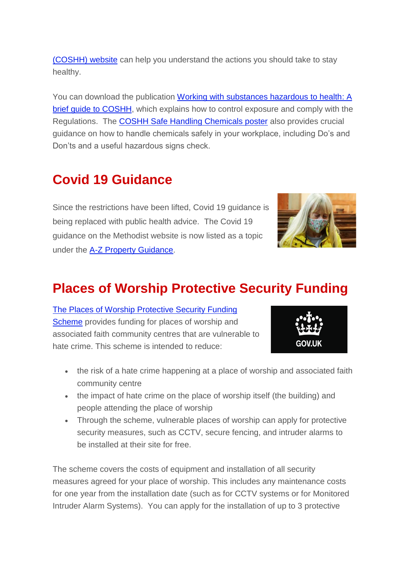[\(COSHH\) website](https://urldefense.proofpoint.com/v2/url?u=https-3A__methodist-2Dnews.org.uk_t_BVI-2D7WHAQ-2DWOCGZJ-2D4TU78S-2D1_c.aspx&d=DwMFaQ&c=euGZstcaTDllvimEN8b7jXrwqOf-v5A_CdpgnVfiiMM&r=HVU4UP2FKbQdEeJRjJMFFTLfEDiOhBmJ91ReO8Puf50&m=aDXaqfg-uLr67a9RO2TQzzN8U5oCMNdt5N_DFFGk9u0&s=xYNoNQ6fSS9oxIO6FdbCMj8kOrkt_1hyTS7QCEGOcik&e=) can help you understand the actions you should take to stay healthy.

You can download the publication [Working with substances hazardous to health: A](https://urldefense.proofpoint.com/v2/url?u=https-3A__methodist-2Dnews.org.uk_t_BVI-2D7WHAQ-2DWOCGZJ-2D4TU78T-2D1_c.aspx&d=DwMFaQ&c=euGZstcaTDllvimEN8b7jXrwqOf-v5A_CdpgnVfiiMM&r=HVU4UP2FKbQdEeJRjJMFFTLfEDiOhBmJ91ReO8Puf50&m=aDXaqfg-uLr67a9RO2TQzzN8U5oCMNdt5N_DFFGk9u0&s=VyWMP2BhUnENP4K1_09goUwaZrDoYXaeMb5Rf-iWBcc&e=)  [brief guide to COSHH,](https://urldefense.proofpoint.com/v2/url?u=https-3A__methodist-2Dnews.org.uk_t_BVI-2D7WHAQ-2DWOCGZJ-2D4TU78T-2D1_c.aspx&d=DwMFaQ&c=euGZstcaTDllvimEN8b7jXrwqOf-v5A_CdpgnVfiiMM&r=HVU4UP2FKbQdEeJRjJMFFTLfEDiOhBmJ91ReO8Puf50&m=aDXaqfg-uLr67a9RO2TQzzN8U5oCMNdt5N_DFFGk9u0&s=VyWMP2BhUnENP4K1_09goUwaZrDoYXaeMb5Rf-iWBcc&e=) which explains how to control exposure and comply with the Regulations. The [COSHH Safe Handling Chemicals poster](https://urldefense.proofpoint.com/v2/url?u=https-3A__methodist-2Dnews.org.uk_t_BVI-2D7WHAQ-2DWOCGZJ-2D4TU78V-2D1_c.aspx&d=DwMFaQ&c=euGZstcaTDllvimEN8b7jXrwqOf-v5A_CdpgnVfiiMM&r=HVU4UP2FKbQdEeJRjJMFFTLfEDiOhBmJ91ReO8Puf50&m=aDXaqfg-uLr67a9RO2TQzzN8U5oCMNdt5N_DFFGk9u0&s=ze7rt-EdUEsfLGN4U3FswD5i4vnLZaHXlp0yX8yydpg&e=) also provides crucial guidance on how to handle chemicals safely in your workplace, including Do's and Don'ts and a useful hazardous signs check.

### **Covid 19 Guidance**

Since the restrictions have been lifted, Covid 19 guidance is being replaced with public health advice. The Covid 19 guidance on the Methodist website is now listed as a topic under the [A-Z Property Guidance.](https://urldefense.proofpoint.com/v2/url?u=https-3A__methodist-2Dnews.org.uk_t_BVI-2D7WHAQ-2DWOCGZJ-2D4TW1JS-2D1_c.aspx&d=DwMFaQ&c=euGZstcaTDllvimEN8b7jXrwqOf-v5A_CdpgnVfiiMM&r=HVU4UP2FKbQdEeJRjJMFFTLfEDiOhBmJ91ReO8Puf50&m=aDXaqfg-uLr67a9RO2TQzzN8U5oCMNdt5N_DFFGk9u0&s=Y4BVc2_WRZCQWvD-2uFs1upj1e5IqViLdqXotxpPYhs&e=)



### **Places of Worship Protective Security Funding**

[The Places of Worship Protective Security Funding](https://urldefense.proofpoint.com/v2/url?u=https-3A__methodist-2Dnews.org.uk_t_BVI-2D7WHAQ-2DWOCGZJ-2D4TST5G-2D1_c.aspx&d=DwMFaQ&c=euGZstcaTDllvimEN8b7jXrwqOf-v5A_CdpgnVfiiMM&r=HVU4UP2FKbQdEeJRjJMFFTLfEDiOhBmJ91ReO8Puf50&m=aDXaqfg-uLr67a9RO2TQzzN8U5oCMNdt5N_DFFGk9u0&s=1EqoHh3cZB5Bl0a4wMy8gZk7JvLSb4ivDokZyrrhRnk&e=)  [Scheme](https://urldefense.proofpoint.com/v2/url?u=https-3A__methodist-2Dnews.org.uk_t_BVI-2D7WHAQ-2DWOCGZJ-2D4TST5G-2D1_c.aspx&d=DwMFaQ&c=euGZstcaTDllvimEN8b7jXrwqOf-v5A_CdpgnVfiiMM&r=HVU4UP2FKbQdEeJRjJMFFTLfEDiOhBmJ91ReO8Puf50&m=aDXaqfg-uLr67a9RO2TQzzN8U5oCMNdt5N_DFFGk9u0&s=1EqoHh3cZB5Bl0a4wMy8gZk7JvLSb4ivDokZyrrhRnk&e=) provides funding for places of worship and associated faith community centres that are vulnerable to hate crime. This scheme is intended to reduce:



- the risk of a hate crime happening at a place of worship and associated faith community centre
- the impact of hate crime on the place of worship itself (the building) and people attending the place of worship
- Through the scheme, vulnerable places of worship can apply for protective security measures, such as CCTV, secure fencing, and intruder alarms to be installed at their site for free.

The scheme covers the costs of equipment and installation of all security measures agreed for your place of worship. This includes any maintenance costs for one year from the installation date (such as for CCTV systems or for Monitored Intruder Alarm Systems). You can apply for the installation of up to 3 protective